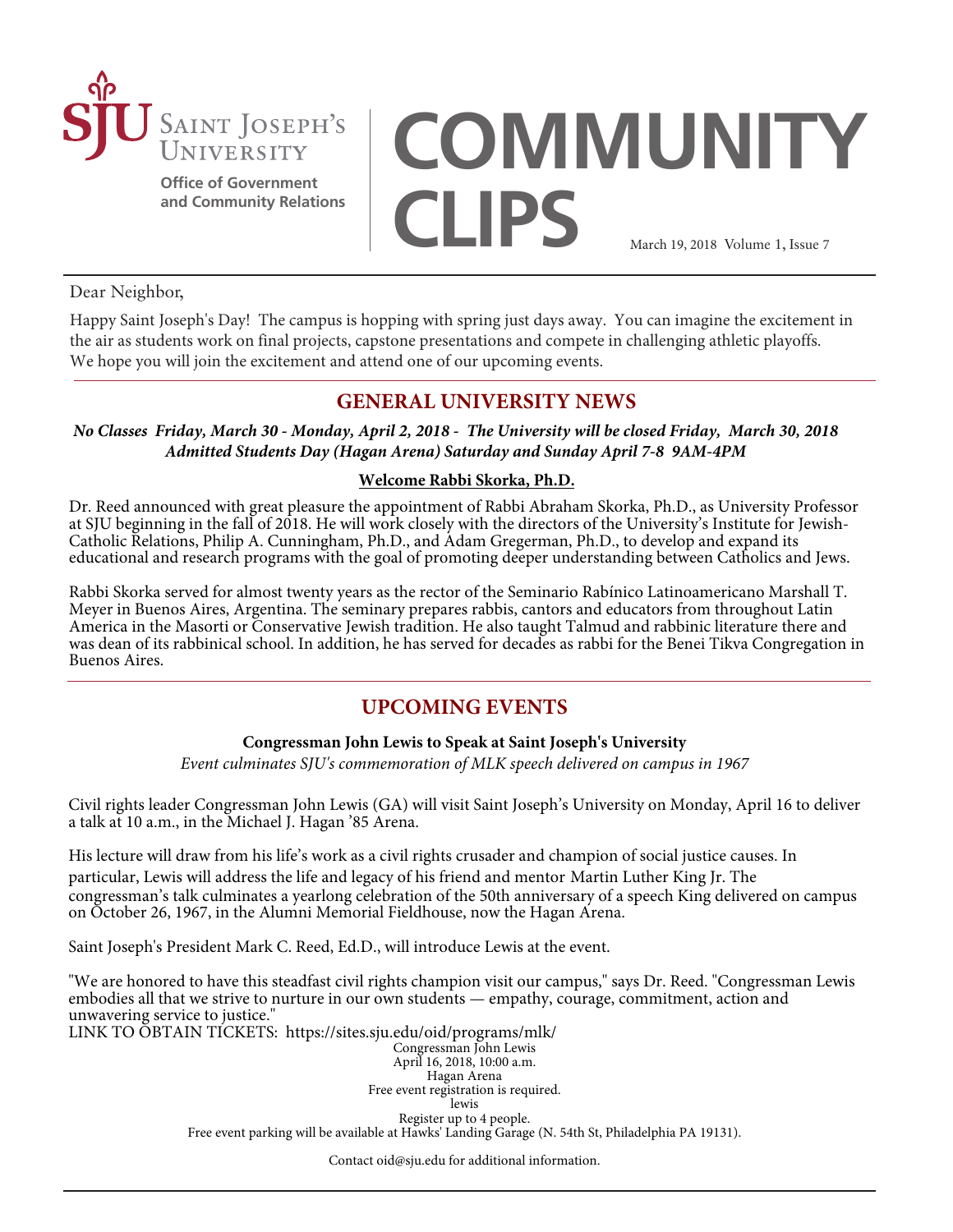

**Office of Government and Community Relations**

# **COMMUNITY CLIPS** March 19, 2018 Volume 1, Issue 7

Dear Neighbor,

Happy Saint Joseph's Day! The campus is hopping with spring just days away. You can imagine the excitement in the air as students work on final projects, capstone presentations and compete in challenging athletic playoffs. We hope you will join the excitement and attend one of our upcoming events.

# **GENERAL UNIVERSITY NEWS**

*No Classes Friday, March 30 - Monday, April 2, 2018 - The University will be closed Friday, March 30, 2018 Admitted Students Day (Hagan Arena) Saturday and Sunday April 7-8 9AM-4PM*

## **Welcome Rabbi Skorka, Ph.D.**

Dr. Reed announced with great pleasure the appointment of Rabbi Abraham Skorka, Ph.D., as University Professor at SJU beginning in the fall of 2018. He will work closely with the directors of the University's Institute for Jewish-Catholic Relations, Philip A. Cunningham, Ph.D., and Adam Gregerman, Ph.D., to develop and expand its educational and research programs with the goal of promoting deeper understanding between Catholics and Jews.

Rabbi Skorka served for almost twenty years as the rector of the Seminario Rabínico Latinoamericano Marshall T. Meyer in Buenos Aires, Argentina. The seminary prepares rabbis, cantors and educators from throughout Latin America in the Masorti or Conservative Jewish tradition. He also taught Talmud and rabbinic literature there and was dean of its rabbinical school. In addition, he has served for decades as rabbi for the Benei Tikva Congregation in Buenos Aires.

# **UPCOMING EVENTS**

### **Congressman John Lewis to Speak at Saint Joseph's University**

*Event culminates SJU's commemoration of MLK speech delivered on campus in 1967*

Civil rights leader Congressman John Lewis (GA) will visit Saint Joseph's University on Monday, April 16 to deliver a talk at 10 a.m., in the Michael J. Hagan '85 Arena.

His lecture will draw from his life's work as a civil rights crusader and champion of social justice causes. In particular, Lewis will address the life and legacy of his friend and mentor Martin Luther King Jr. The congressman's talk culminates a yearlong celebration of the 50th anniversary of a speech King delivered on campus on October 26, 1967, in the Alumni Memorial Fieldhouse, now the Hagan Arena.

Saint Joseph's President Mark C. Reed, Ed.D., will introduce Lewis at the event.

"We are honored to have this steadfast civil rights champion visit our campus," says Dr. Reed. "Congressman Lewis embodies all that we strive to nurture in our own students — empathy, courage, commitment, action and unwavering service to justice."

LINK TO OBTAIN TICKETS:<https://sites.sju.edu/oid/programs/mlk/>

Congressman John Lewis April 16, 2018, 10:00 a.m.

Hagan Arena Free event registration is required. lewis Register up to 4 people. Free event parking will be available at Hawks' Landing Garage (N. 54th St, Philadelphia PA 19131).

Contact oid@sju.edu for additional information.